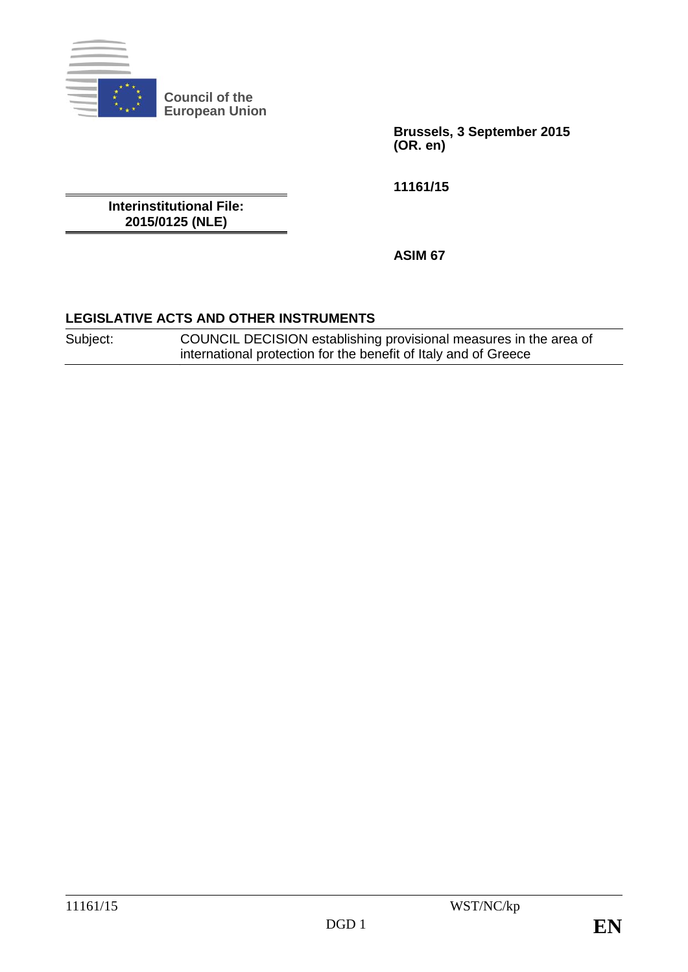

**Council of the European Union** 

> **Brussels, 3 September 2015 (OR. en)**

**11161/15** 

**Interinstitutional File: 2015/0125 (NLE)** 

**ASIM 67** 

# **LEGISLATIVE ACTS AND OTHER INSTRUMENTS**

Subject: COUNCIL DECISION establishing provisional measures in the area of international protection for the benefit of Italy and of Greece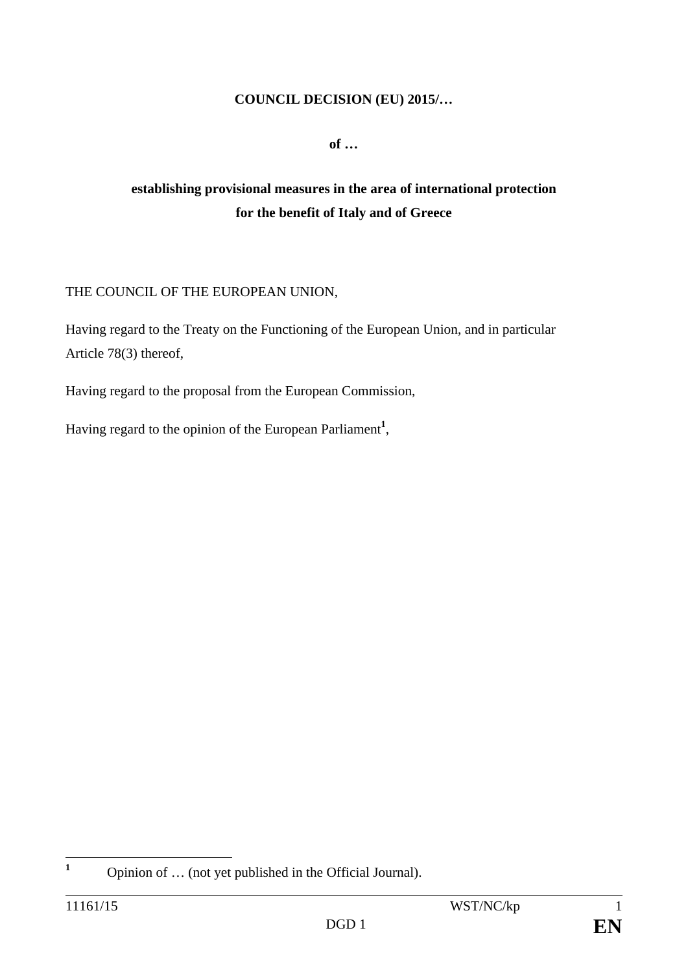## **COUNCIL DECISION (EU) 2015/…**

**of …** 

# **establishing provisional measures in the area of international protection for the benefit of Italy and of Greece**

# THE COUNCIL OF THE EUROPEAN UNION,

Having regard to the Treaty on the Functioning of the European Union, and in particular Article 78(3) thereof,

Having regard to the proposal from the European Commission,

Having regard to the opinion of the European Parliament<sup>1</sup>,

**1**

Opinion of … (not yet published in the Official Journal).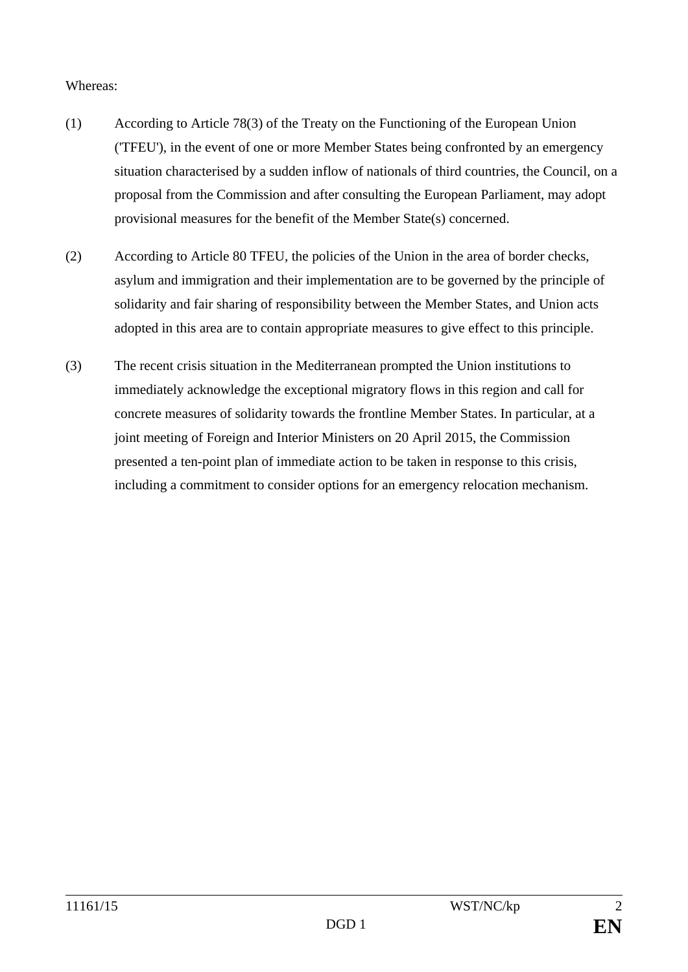#### Whereas:

- (1) According to Article 78(3) of the Treaty on the Functioning of the European Union ('TFEU'), in the event of one or more Member States being confronted by an emergency situation characterised by a sudden inflow of nationals of third countries, the Council, on a proposal from the Commission and after consulting the European Parliament, may adopt provisional measures for the benefit of the Member State(s) concerned.
- (2) According to Article 80 TFEU, the policies of the Union in the area of border checks, asylum and immigration and their implementation are to be governed by the principle of solidarity and fair sharing of responsibility between the Member States, and Union acts adopted in this area are to contain appropriate measures to give effect to this principle.
- (3) The recent crisis situation in the Mediterranean prompted the Union institutions to immediately acknowledge the exceptional migratory flows in this region and call for concrete measures of solidarity towards the frontline Member States. In particular, at a joint meeting of Foreign and Interior Ministers on 20 April 2015, the Commission presented a ten-point plan of immediate action to be taken in response to this crisis, including a commitment to consider options for an emergency relocation mechanism.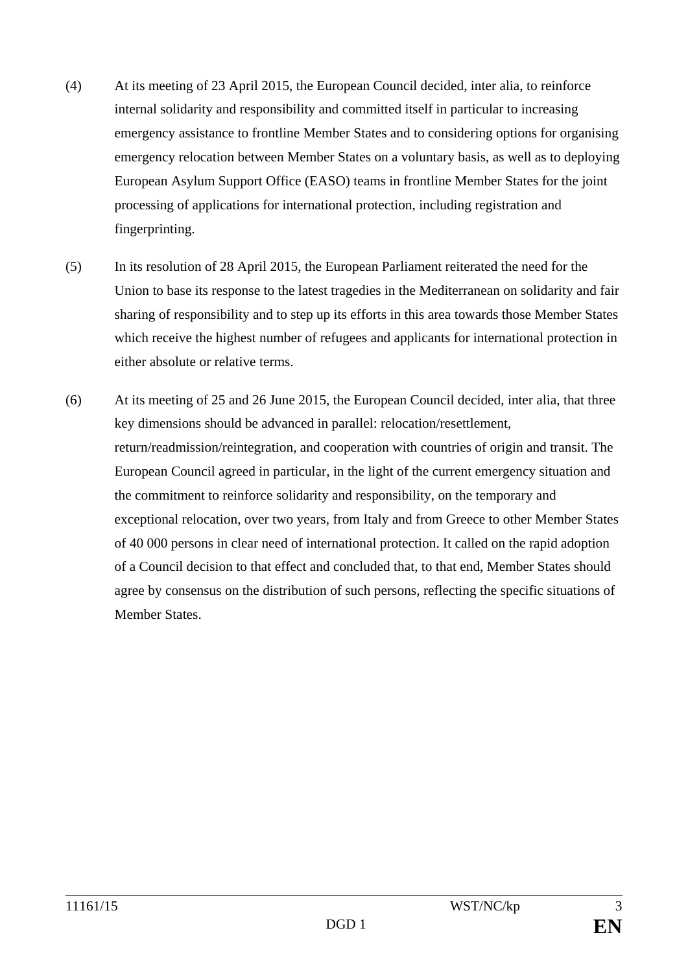- (4) At its meeting of 23 April 2015, the European Council decided, inter alia, to reinforce internal solidarity and responsibility and committed itself in particular to increasing emergency assistance to frontline Member States and to considering options for organising emergency relocation between Member States on a voluntary basis, as well as to deploying European Asylum Support Office (EASO) teams in frontline Member States for the joint processing of applications for international protection, including registration and fingerprinting.
- (5) In its resolution of 28 April 2015, the European Parliament reiterated the need for the Union to base its response to the latest tragedies in the Mediterranean on solidarity and fair sharing of responsibility and to step up its efforts in this area towards those Member States which receive the highest number of refugees and applicants for international protection in either absolute or relative terms.
- (6) At its meeting of 25 and 26 June 2015, the European Council decided, inter alia, that three key dimensions should be advanced in parallel: relocation/resettlement, return/readmission/reintegration, and cooperation with countries of origin and transit. The European Council agreed in particular, in the light of the current emergency situation and the commitment to reinforce solidarity and responsibility, on the temporary and exceptional relocation, over two years, from Italy and from Greece to other Member States of 40 000 persons in clear need of international protection. It called on the rapid adoption of a Council decision to that effect and concluded that, to that end, Member States should agree by consensus on the distribution of such persons, reflecting the specific situations of Member States.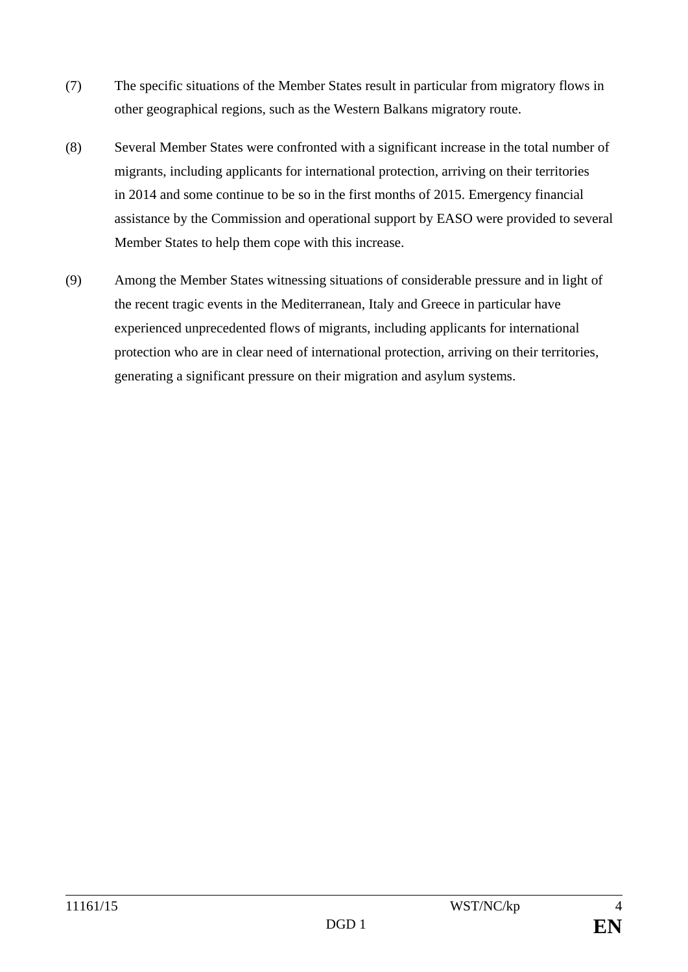- (7) The specific situations of the Member States result in particular from migratory flows in other geographical regions, such as the Western Balkans migratory route.
- (8) Several Member States were confronted with a significant increase in the total number of migrants, including applicants for international protection, arriving on their territories in 2014 and some continue to be so in the first months of 2015. Emergency financial assistance by the Commission and operational support by EASO were provided to several Member States to help them cope with this increase.
- (9) Among the Member States witnessing situations of considerable pressure and in light of the recent tragic events in the Mediterranean, Italy and Greece in particular have experienced unprecedented flows of migrants, including applicants for international protection who are in clear need of international protection, arriving on their territories, generating a significant pressure on their migration and asylum systems.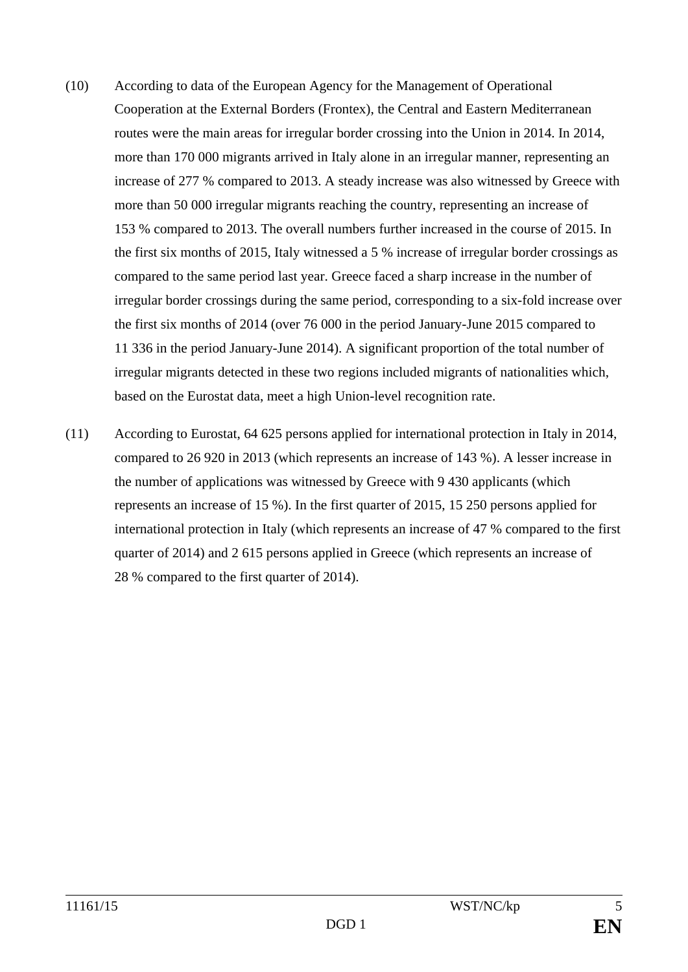- (10) According to data of the European Agency for the Management of Operational Cooperation at the External Borders (Frontex), the Central and Eastern Mediterranean routes were the main areas for irregular border crossing into the Union in 2014. In 2014, more than 170 000 migrants arrived in Italy alone in an irregular manner, representing an increase of 277 % compared to 2013. A steady increase was also witnessed by Greece with more than 50 000 irregular migrants reaching the country, representing an increase of 153 % compared to 2013. The overall numbers further increased in the course of 2015. In the first six months of 2015, Italy witnessed a 5 % increase of irregular border crossings as compared to the same period last year. Greece faced a sharp increase in the number of irregular border crossings during the same period, corresponding to a six-fold increase over the first six months of 2014 (over 76 000 in the period January-June 2015 compared to 11 336 in the period January-June 2014). A significant proportion of the total number of irregular migrants detected in these two regions included migrants of nationalities which, based on the Eurostat data, meet a high Union-level recognition rate.
- (11) According to Eurostat, 64 625 persons applied for international protection in Italy in 2014, compared to 26 920 in 2013 (which represents an increase of 143 %). A lesser increase in the number of applications was witnessed by Greece with 9 430 applicants (which represents an increase of 15 %). In the first quarter of 2015, 15 250 persons applied for international protection in Italy (which represents an increase of 47 % compared to the first quarter of 2014) and 2 615 persons applied in Greece (which represents an increase of 28 % compared to the first quarter of 2014).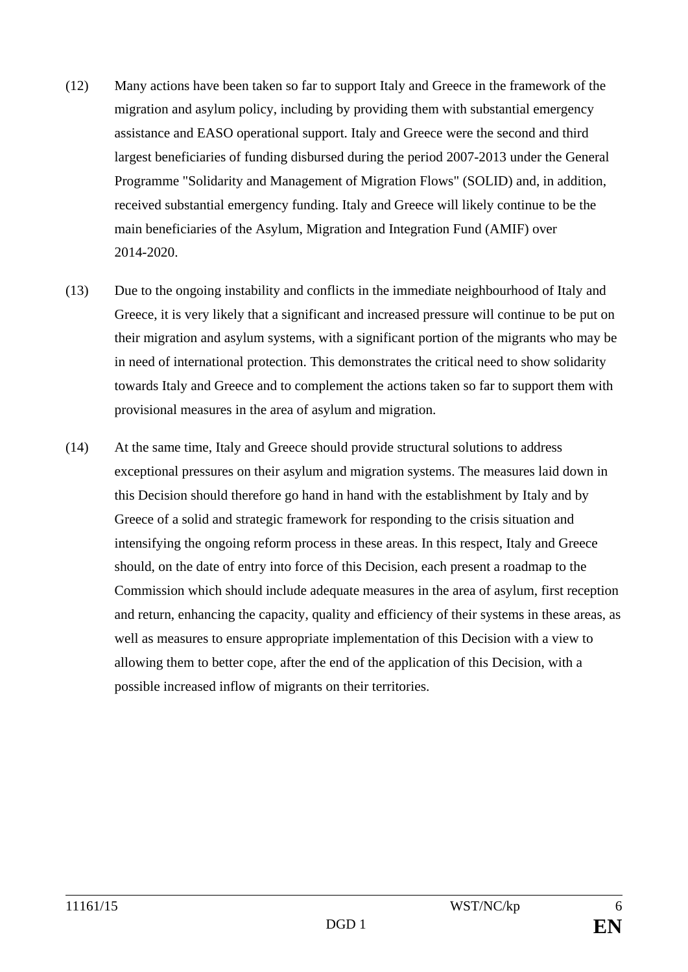- (12) Many actions have been taken so far to support Italy and Greece in the framework of the migration and asylum policy, including by providing them with substantial emergency assistance and EASO operational support. Italy and Greece were the second and third largest beneficiaries of funding disbursed during the period 2007-2013 under the General Programme "Solidarity and Management of Migration Flows" (SOLID) and, in addition, received substantial emergency funding. Italy and Greece will likely continue to be the main beneficiaries of the Asylum, Migration and Integration Fund (AMIF) over 2014-2020.
- (13) Due to the ongoing instability and conflicts in the immediate neighbourhood of Italy and Greece, it is very likely that a significant and increased pressure will continue to be put on their migration and asylum systems, with a significant portion of the migrants who may be in need of international protection. This demonstrates the critical need to show solidarity towards Italy and Greece and to complement the actions taken so far to support them with provisional measures in the area of asylum and migration.
- (14) At the same time, Italy and Greece should provide structural solutions to address exceptional pressures on their asylum and migration systems. The measures laid down in this Decision should therefore go hand in hand with the establishment by Italy and by Greece of a solid and strategic framework for responding to the crisis situation and intensifying the ongoing reform process in these areas. In this respect, Italy and Greece should, on the date of entry into force of this Decision, each present a roadmap to the Commission which should include adequate measures in the area of asylum, first reception and return, enhancing the capacity, quality and efficiency of their systems in these areas, as well as measures to ensure appropriate implementation of this Decision with a view to allowing them to better cope, after the end of the application of this Decision, with a possible increased inflow of migrants on their territories.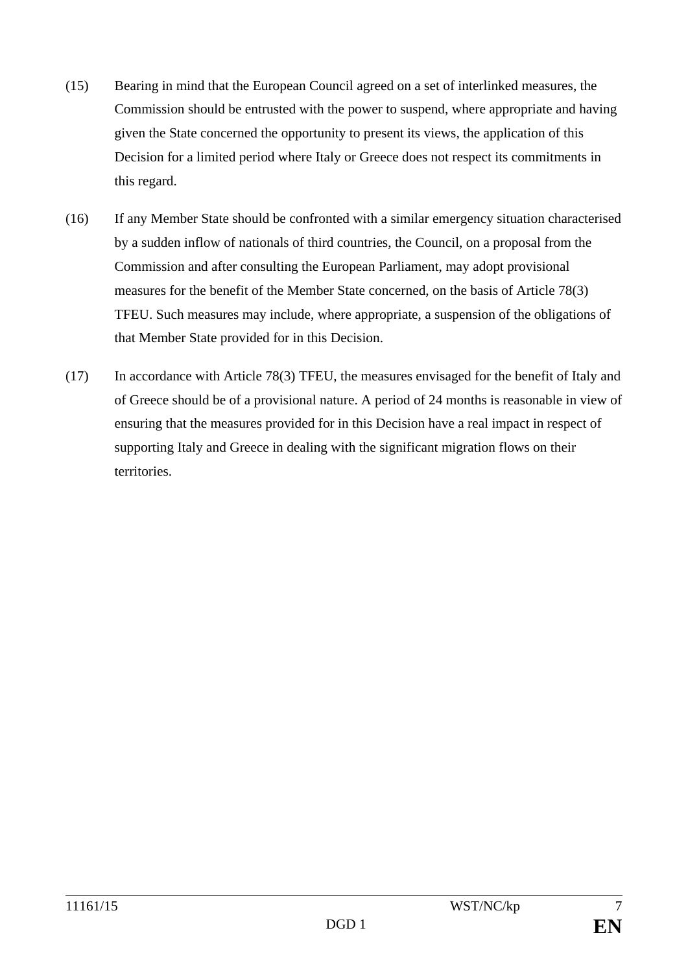- (15) Bearing in mind that the European Council agreed on a set of interlinked measures, the Commission should be entrusted with the power to suspend, where appropriate and having given the State concerned the opportunity to present its views, the application of this Decision for a limited period where Italy or Greece does not respect its commitments in this regard.
- (16) If any Member State should be confronted with a similar emergency situation characterised by a sudden inflow of nationals of third countries, the Council, on a proposal from the Commission and after consulting the European Parliament, may adopt provisional measures for the benefit of the Member State concerned, on the basis of Article 78(3) TFEU. Such measures may include, where appropriate, a suspension of the obligations of that Member State provided for in this Decision.
- (17) In accordance with Article 78(3) TFEU, the measures envisaged for the benefit of Italy and of Greece should be of a provisional nature. A period of 24 months is reasonable in view of ensuring that the measures provided for in this Decision have a real impact in respect of supporting Italy and Greece in dealing with the significant migration flows on their territories.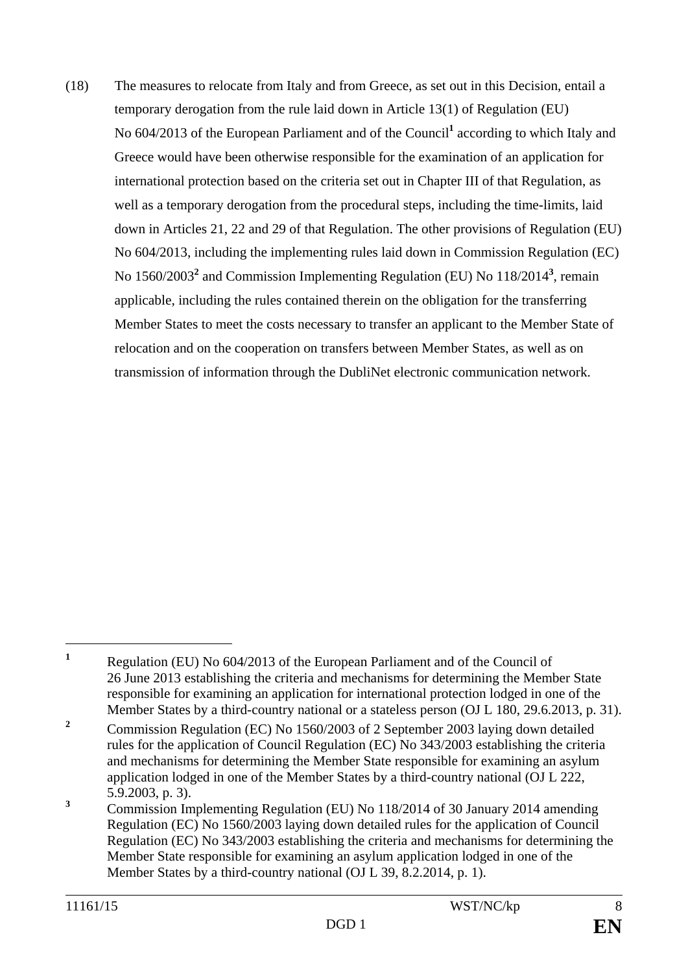(18) The measures to relocate from Italy and from Greece, as set out in this Decision, entail a temporary derogation from the rule laid down in Article 13(1) of Regulation (EU) No 604/2013 of the European Parliament and of the Council**<sup>1</sup>** according to which Italy and Greece would have been otherwise responsible for the examination of an application for international protection based on the criteria set out in Chapter III of that Regulation, as well as a temporary derogation from the procedural steps, including the time-limits, laid down in Articles 21, 22 and 29 of that Regulation. The other provisions of Regulation (EU) No 604/2013, including the implementing rules laid down in Commission Regulation (EC) No 1560/2003<sup>2</sup> and Commission Implementing Regulation (EU) No 118/2014<sup>3</sup>, remain applicable, including the rules contained therein on the obligation for the transferring Member States to meet the costs necessary to transfer an applicant to the Member State of relocation and on the cooperation on transfers between Member States, as well as on transmission of information through the DubliNet electronic communication network.

 $\overline{a}$ 

**<sup>1</sup>** Regulation (EU) No 604/2013 of the European Parliament and of the Council of 26 June 2013 establishing the criteria and mechanisms for determining the Member State responsible for examining an application for international protection lodged in one of the Member States by a third-country national or a stateless person (OJ L 180, 29.6.2013, p. 31).

**<sup>2</sup>** Commission Regulation (EC) No 1560/2003 of 2 September 2003 laying down detailed rules for the application of Council Regulation (EC) No 343/2003 establishing the criteria and mechanisms for determining the Member State responsible for examining an asylum application lodged in one of the Member States by a third-country national (OJ L 222, 5.9.2003, p. 3).

**<sup>3</sup>** Commission Implementing Regulation (EU) No 118/2014 of 30 January 2014 amending Regulation (EC) No 1560/2003 laying down detailed rules for the application of Council Regulation (EC) No 343/2003 establishing the criteria and mechanisms for determining the Member State responsible for examining an asylum application lodged in one of the Member States by a third-country national (OJ L 39, 8.2.2014, p. 1).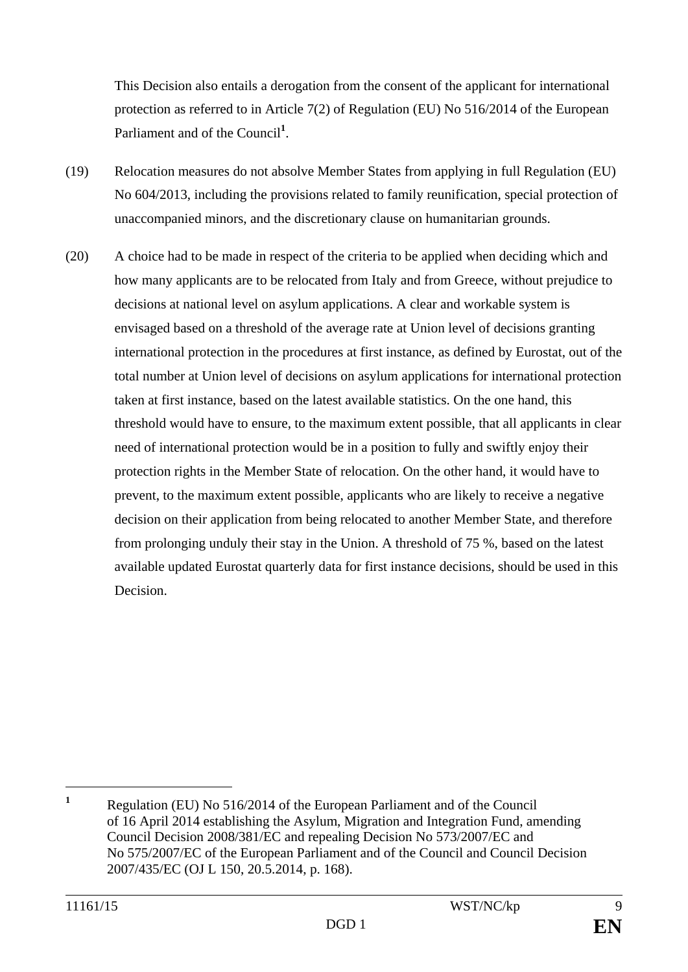This Decision also entails a derogation from the consent of the applicant for international protection as referred to in Article 7(2) of Regulation (EU) No 516/2014 of the European Parliament and of the Council<sup>1</sup>.

- (19) Relocation measures do not absolve Member States from applying in full Regulation (EU) No 604/2013, including the provisions related to family reunification, special protection of unaccompanied minors, and the discretionary clause on humanitarian grounds.
- (20) A choice had to be made in respect of the criteria to be applied when deciding which and how many applicants are to be relocated from Italy and from Greece, without prejudice to decisions at national level on asylum applications. A clear and workable system is envisaged based on a threshold of the average rate at Union level of decisions granting international protection in the procedures at first instance, as defined by Eurostat, out of the total number at Union level of decisions on asylum applications for international protection taken at first instance, based on the latest available statistics. On the one hand, this threshold would have to ensure, to the maximum extent possible, that all applicants in clear need of international protection would be in a position to fully and swiftly enjoy their protection rights in the Member State of relocation. On the other hand, it would have to prevent, to the maximum extent possible, applicants who are likely to receive a negative decision on their application from being relocated to another Member State, and therefore from prolonging unduly their stay in the Union. A threshold of 75 %, based on the latest available updated Eurostat quarterly data for first instance decisions, should be used in this Decision.

 $\overline{a}$ 

**<sup>1</sup>** Regulation (EU) No 516/2014 of the European Parliament and of the Council of 16 April 2014 establishing the Asylum, Migration and Integration Fund, amending Council Decision 2008/381/EC and repealing Decision No 573/2007/EC and No 575/2007/EC of the European Parliament and of the Council and Council Decision 2007/435/EC (OJ L 150, 20.5.2014, p. 168).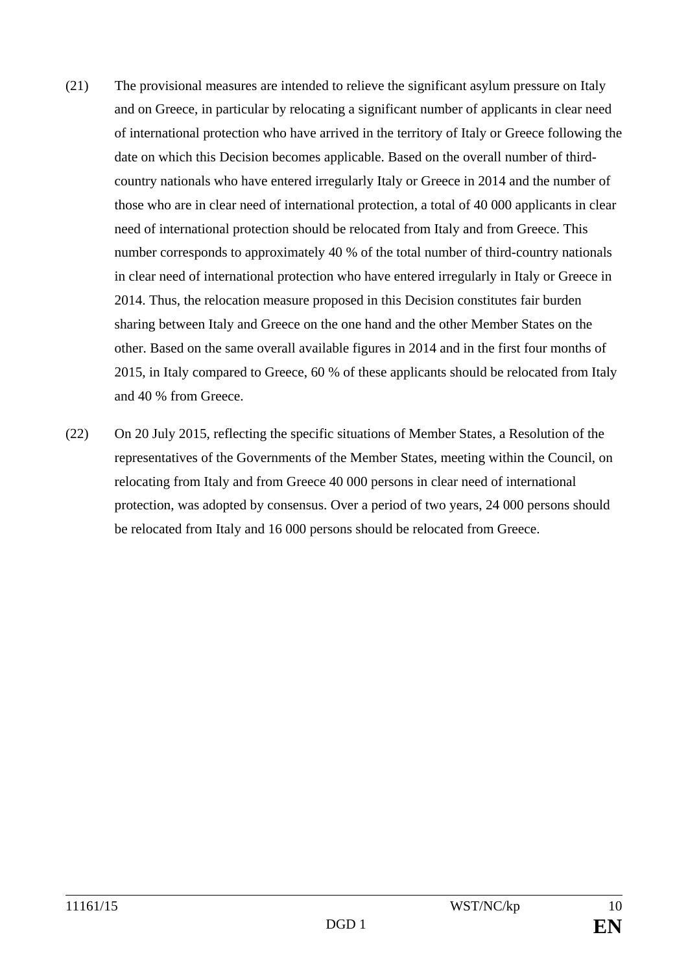- (21) The provisional measures are intended to relieve the significant asylum pressure on Italy and on Greece, in particular by relocating a significant number of applicants in clear need of international protection who have arrived in the territory of Italy or Greece following the date on which this Decision becomes applicable. Based on the overall number of thirdcountry nationals who have entered irregularly Italy or Greece in 2014 and the number of those who are in clear need of international protection, a total of 40 000 applicants in clear need of international protection should be relocated from Italy and from Greece. This number corresponds to approximately 40 % of the total number of third-country nationals in clear need of international protection who have entered irregularly in Italy or Greece in 2014. Thus, the relocation measure proposed in this Decision constitutes fair burden sharing between Italy and Greece on the one hand and the other Member States on the other. Based on the same overall available figures in 2014 and in the first four months of 2015, in Italy compared to Greece, 60 % of these applicants should be relocated from Italy and 40 % from Greece.
- (22) On 20 July 2015, reflecting the specific situations of Member States, a Resolution of the representatives of the Governments of the Member States, meeting within the Council, on relocating from Italy and from Greece 40 000 persons in clear need of international protection, was adopted by consensus. Over a period of two years, 24 000 persons should be relocated from Italy and 16 000 persons should be relocated from Greece.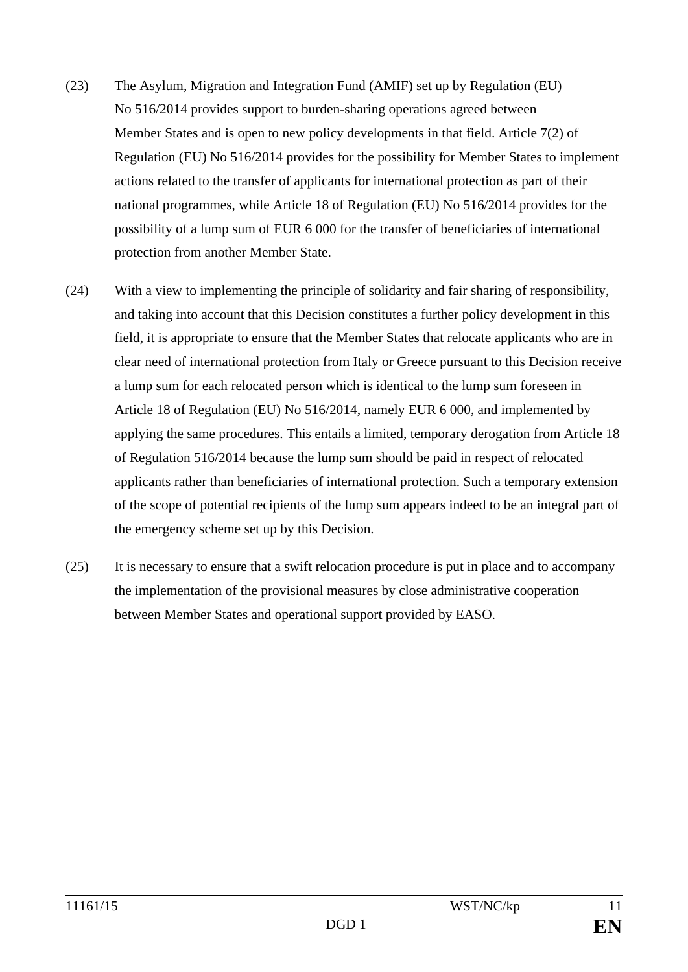- (23) The Asylum, Migration and Integration Fund (AMIF) set up by Regulation (EU) No 516/2014 provides support to burden-sharing operations agreed between Member States and is open to new policy developments in that field. Article 7(2) of Regulation (EU) No 516/2014 provides for the possibility for Member States to implement actions related to the transfer of applicants for international protection as part of their national programmes, while Article 18 of Regulation (EU) No 516/2014 provides for the possibility of a lump sum of EUR 6 000 for the transfer of beneficiaries of international protection from another Member State.
- (24) With a view to implementing the principle of solidarity and fair sharing of responsibility, and taking into account that this Decision constitutes a further policy development in this field, it is appropriate to ensure that the Member States that relocate applicants who are in clear need of international protection from Italy or Greece pursuant to this Decision receive a lump sum for each relocated person which is identical to the lump sum foreseen in Article 18 of Regulation (EU) No 516/2014, namely EUR 6 000, and implemented by applying the same procedures. This entails a limited, temporary derogation from Article 18 of Regulation 516/2014 because the lump sum should be paid in respect of relocated applicants rather than beneficiaries of international protection. Such a temporary extension of the scope of potential recipients of the lump sum appears indeed to be an integral part of the emergency scheme set up by this Decision.
- (25) It is necessary to ensure that a swift relocation procedure is put in place and to accompany the implementation of the provisional measures by close administrative cooperation between Member States and operational support provided by EASO.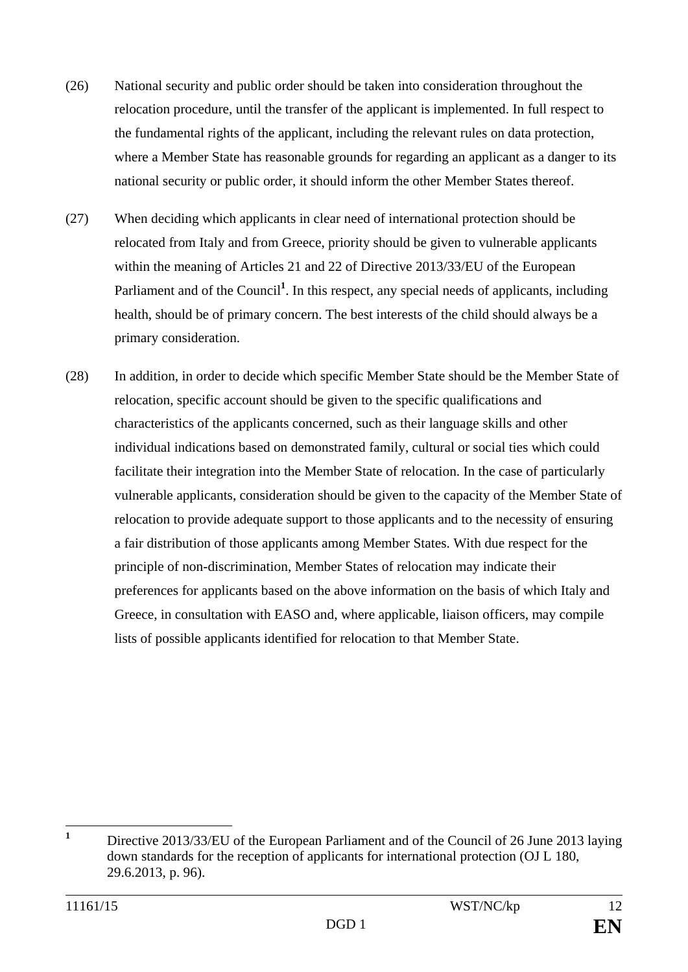- (26) National security and public order should be taken into consideration throughout the relocation procedure, until the transfer of the applicant is implemented. In full respect to the fundamental rights of the applicant, including the relevant rules on data protection, where a Member State has reasonable grounds for regarding an applicant as a danger to its national security or public order, it should inform the other Member States thereof.
- (27) When deciding which applicants in clear need of international protection should be relocated from Italy and from Greece, priority should be given to vulnerable applicants within the meaning of Articles 21 and 22 of Directive 2013/33/EU of the European Parliament and of the Council<sup>1</sup>. In this respect, any special needs of applicants, including health, should be of primary concern. The best interests of the child should always be a primary consideration.
- (28) In addition, in order to decide which specific Member State should be the Member State of relocation, specific account should be given to the specific qualifications and characteristics of the applicants concerned, such as their language skills and other individual indications based on demonstrated family, cultural or social ties which could facilitate their integration into the Member State of relocation. In the case of particularly vulnerable applicants, consideration should be given to the capacity of the Member State of relocation to provide adequate support to those applicants and to the necessity of ensuring a fair distribution of those applicants among Member States. With due respect for the principle of non-discrimination, Member States of relocation may indicate their preferences for applicants based on the above information on the basis of which Italy and Greece, in consultation with EASO and, where applicable, liaison officers, may compile lists of possible applicants identified for relocation to that Member State.

 **1** Directive 2013/33/EU of the European Parliament and of the Council of 26 June 2013 laying down standards for the reception of applicants for international protection (OJ L 180, 29.6.2013, p. 96).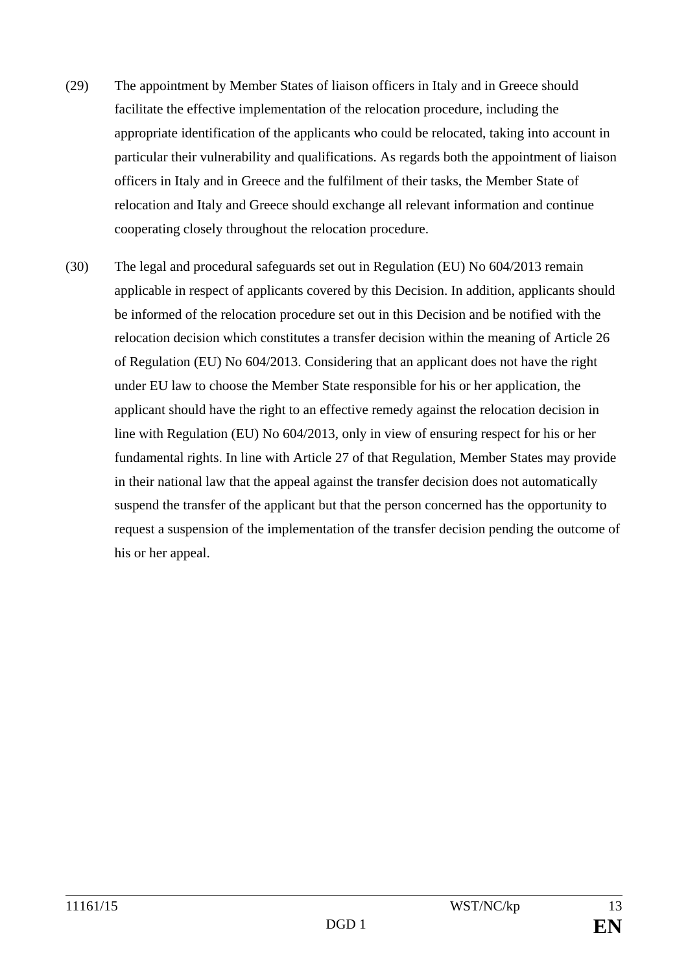- (29) The appointment by Member States of liaison officers in Italy and in Greece should facilitate the effective implementation of the relocation procedure, including the appropriate identification of the applicants who could be relocated, taking into account in particular their vulnerability and qualifications. As regards both the appointment of liaison officers in Italy and in Greece and the fulfilment of their tasks, the Member State of relocation and Italy and Greece should exchange all relevant information and continue cooperating closely throughout the relocation procedure.
- (30) The legal and procedural safeguards set out in Regulation (EU) No 604/2013 remain applicable in respect of applicants covered by this Decision. In addition, applicants should be informed of the relocation procedure set out in this Decision and be notified with the relocation decision which constitutes a transfer decision within the meaning of Article 26 of Regulation (EU) No 604/2013. Considering that an applicant does not have the right under EU law to choose the Member State responsible for his or her application, the applicant should have the right to an effective remedy against the relocation decision in line with Regulation (EU) No 604/2013, only in view of ensuring respect for his or her fundamental rights. In line with Article 27 of that Regulation, Member States may provide in their national law that the appeal against the transfer decision does not automatically suspend the transfer of the applicant but that the person concerned has the opportunity to request a suspension of the implementation of the transfer decision pending the outcome of his or her appeal.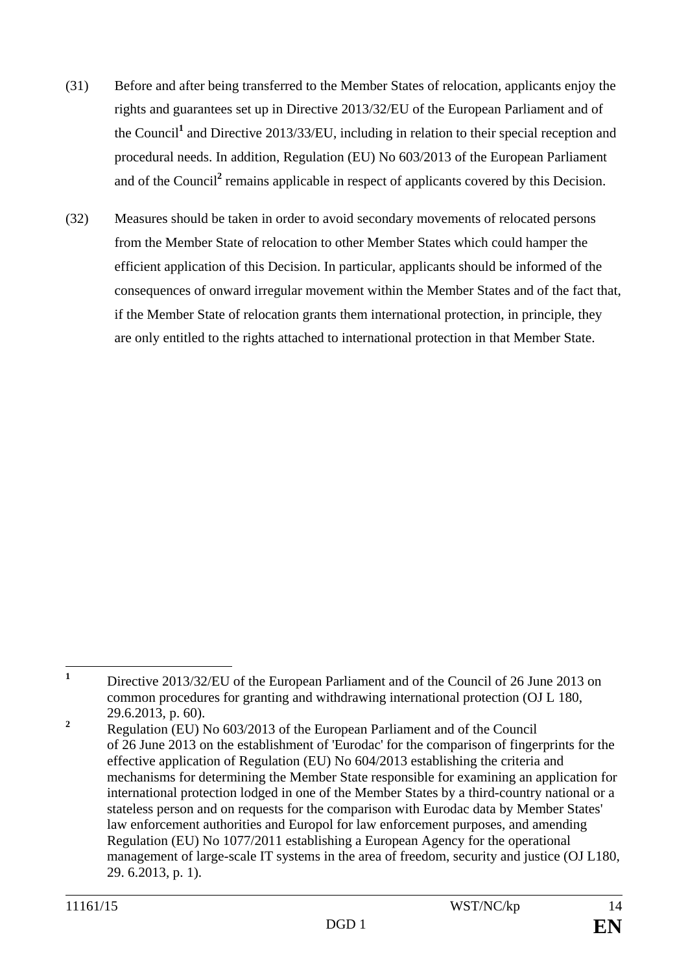- (31) Before and after being transferred to the Member States of relocation, applicants enjoy the rights and guarantees set up in Directive 2013/32/EU of the European Parliament and of the Council**<sup>1</sup>** and Directive 2013/33/EU, including in relation to their special reception and procedural needs. In addition, Regulation (EU) No 603/2013 of the European Parliament and of the Council<sup>2</sup> remains applicable in respect of applicants covered by this Decision.
- (32) Measures should be taken in order to avoid secondary movements of relocated persons from the Member State of relocation to other Member States which could hamper the efficient application of this Decision. In particular, applicants should be informed of the consequences of onward irregular movement within the Member States and of the fact that, if the Member State of relocation grants them international protection, in principle, they are only entitled to the rights attached to international protection in that Member State.

 **1** Directive 2013/32/EU of the European Parliament and of the Council of 26 June 2013 on common procedures for granting and withdrawing international protection (OJ L 180, 29.6.2013, p. 60).

**<sup>2</sup>** Regulation (EU) No 603/2013 of the European Parliament and of the Council of 26 June 2013 on the establishment of 'Eurodac' for the comparison of fingerprints for the effective application of Regulation (EU) No 604/2013 establishing the criteria and mechanisms for determining the Member State responsible for examining an application for international protection lodged in one of the Member States by a third-country national or a stateless person and on requests for the comparison with Eurodac data by Member States' law enforcement authorities and Europol for law enforcement purposes, and amending Regulation (EU) No 1077/2011 establishing a European Agency for the operational management of large-scale IT systems in the area of freedom, security and justice (OJ L180, 29. 6.2013, p. 1).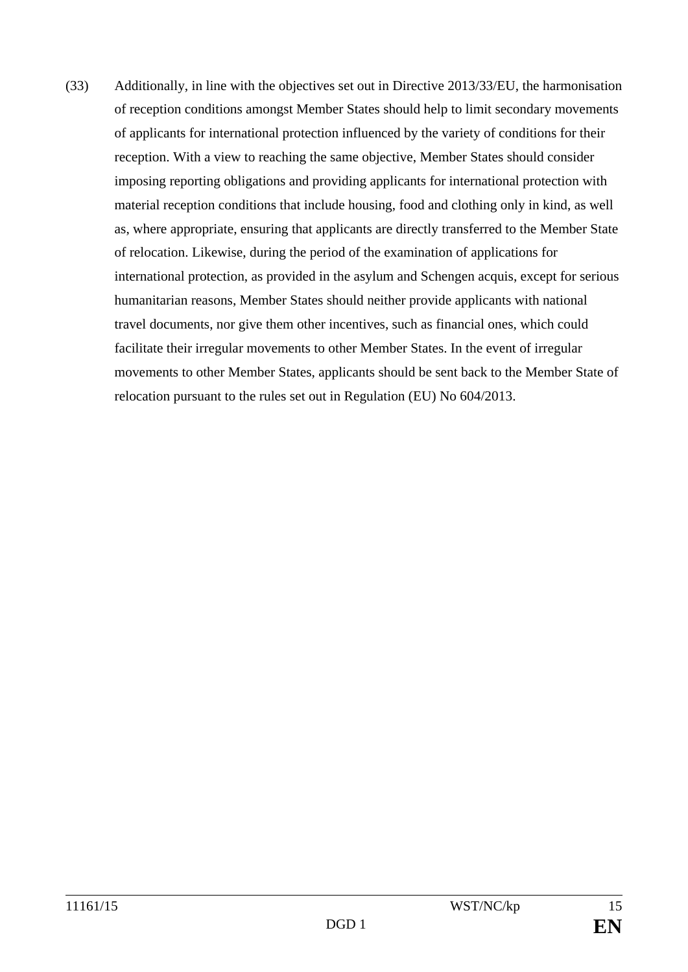(33) Additionally, in line with the objectives set out in Directive 2013/33/EU, the harmonisation of reception conditions amongst Member States should help to limit secondary movements of applicants for international protection influenced by the variety of conditions for their reception. With a view to reaching the same objective, Member States should consider imposing reporting obligations and providing applicants for international protection with material reception conditions that include housing, food and clothing only in kind, as well as, where appropriate, ensuring that applicants are directly transferred to the Member State of relocation. Likewise, during the period of the examination of applications for international protection, as provided in the asylum and Schengen acquis, except for serious humanitarian reasons, Member States should neither provide applicants with national travel documents, nor give them other incentives, such as financial ones, which could facilitate their irregular movements to other Member States. In the event of irregular movements to other Member States, applicants should be sent back to the Member State of relocation pursuant to the rules set out in Regulation (EU) No 604/2013.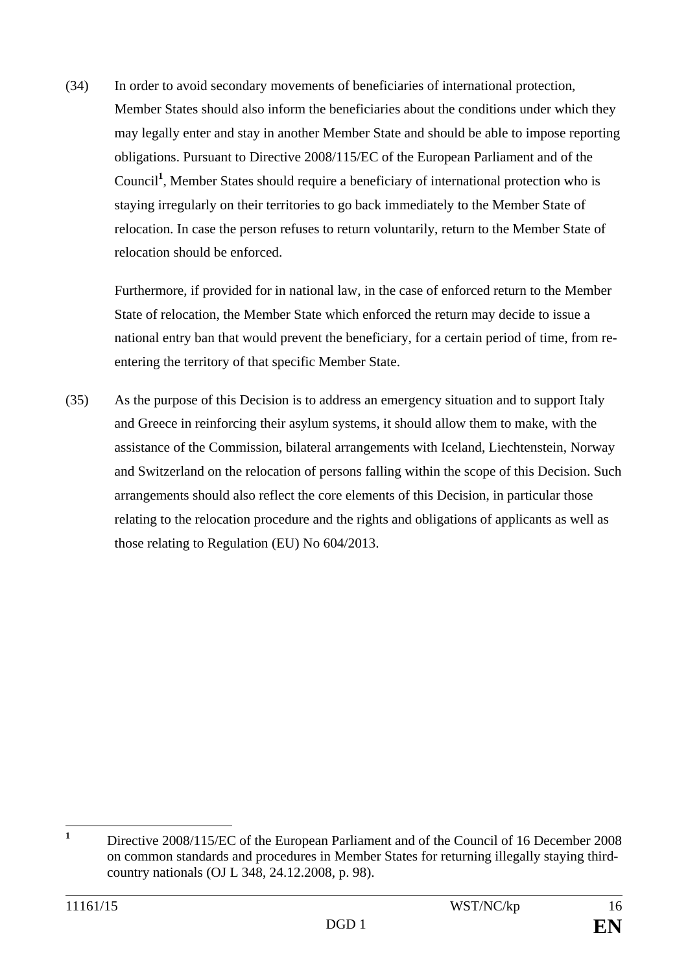(34) In order to avoid secondary movements of beneficiaries of international protection, Member States should also inform the beneficiaries about the conditions under which they may legally enter and stay in another Member State and should be able to impose reporting obligations. Pursuant to Directive 2008/115/EC of the European Parliament and of the Council**<sup>1</sup>** , Member States should require a beneficiary of international protection who is staying irregularly on their territories to go back immediately to the Member State of relocation. In case the person refuses to return voluntarily, return to the Member State of relocation should be enforced.

Furthermore, if provided for in national law, in the case of enforced return to the Member State of relocation, the Member State which enforced the return may decide to issue a national entry ban that would prevent the beneficiary, for a certain period of time, from reentering the territory of that specific Member State.

(35) As the purpose of this Decision is to address an emergency situation and to support Italy and Greece in reinforcing their asylum systems, it should allow them to make, with the assistance of the Commission, bilateral arrangements with Iceland, Liechtenstein, Norway and Switzerland on the relocation of persons falling within the scope of this Decision. Such arrangements should also reflect the core elements of this Decision, in particular those relating to the relocation procedure and the rights and obligations of applicants as well as those relating to Regulation (EU) No 604/2013.

 **1** Directive 2008/115/EC of the European Parliament and of the Council of 16 December 2008 on common standards and procedures in Member States for returning illegally staying thirdcountry nationals (OJ L 348, 24.12.2008, p. 98).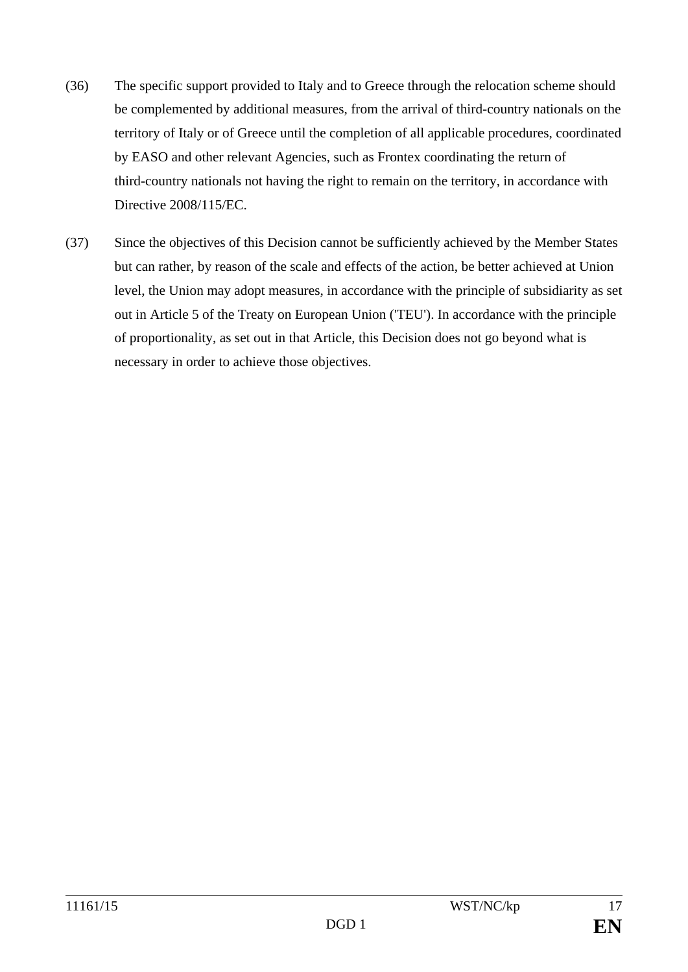- (36) The specific support provided to Italy and to Greece through the relocation scheme should be complemented by additional measures, from the arrival of third-country nationals on the territory of Italy or of Greece until the completion of all applicable procedures, coordinated by EASO and other relevant Agencies, such as Frontex coordinating the return of third-country nationals not having the right to remain on the territory, in accordance with Directive 2008/115/EC.
- (37) Since the objectives of this Decision cannot be sufficiently achieved by the Member States but can rather, by reason of the scale and effects of the action, be better achieved at Union level, the Union may adopt measures, in accordance with the principle of subsidiarity as set out in Article 5 of the Treaty on European Union ('TEU'). In accordance with the principle of proportionality, as set out in that Article, this Decision does not go beyond what is necessary in order to achieve those objectives.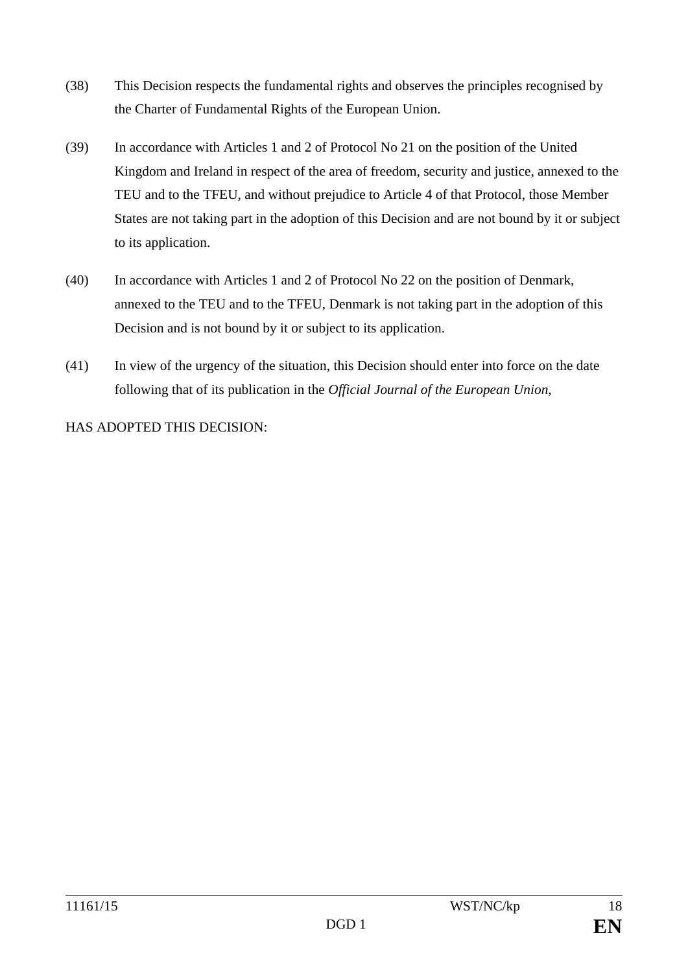- (38) This Decision respects the fundamental rights and observes the principles recognised by the Charter of Fundamental Rights of the European Union.
- (39) In accordance with Articles 1 and 2 of Protocol No 21 on the position of the United Kingdom and Ireland in respect of the area of freedom, security and justice, annexed to the TEU and to the TFEU, and without prejudice to Article 4 of that Protocol, those Member States are not taking part in the adoption of this Decision and are not bound by it or subject to its application.
- (40) In accordance with Articles 1 and 2 of Protocol No 22 on the position of Denmark, annexed to the TEU and to the TFEU, Denmark is not taking part in the adoption of this Decision and is not bound by it or subject to its application.
- (41) In view of the urgency of the situation, this Decision should enter into force on the date following that of its publication in the *Official Journal of the European Union*,

HAS ADOPTED THIS DECISION: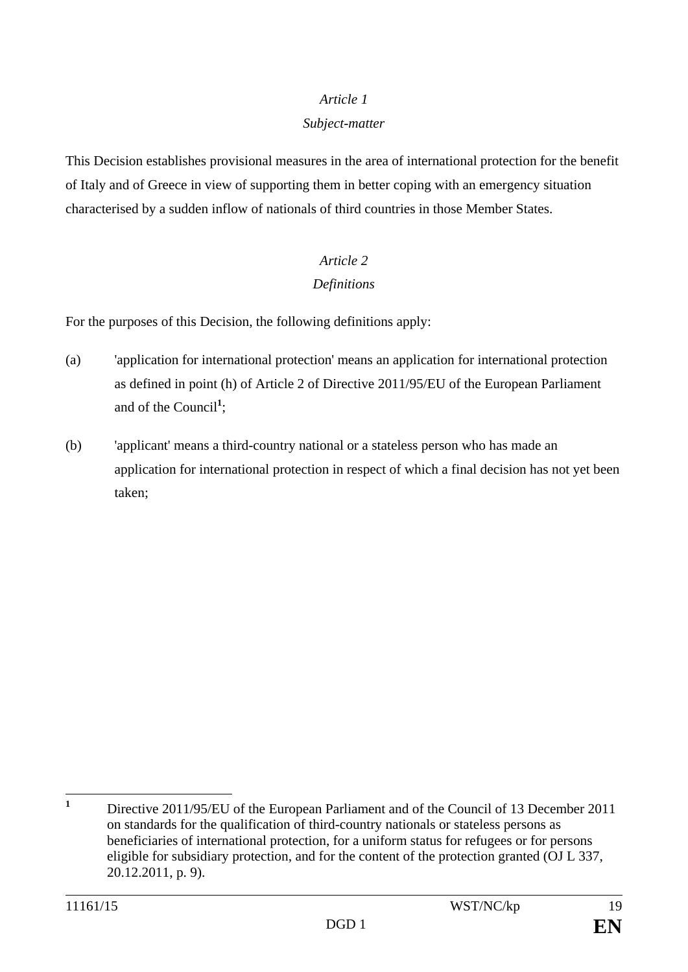# *Subject-matter*

This Decision establishes provisional measures in the area of international protection for the benefit of Italy and of Greece in view of supporting them in better coping with an emergency situation characterised by a sudden inflow of nationals of third countries in those Member States.

# *Article 2 Definitions*

For the purposes of this Decision, the following definitions apply:

- (a) 'application for international protection' means an application for international protection as defined in point (h) of Article 2 of Directive 2011/95/EU of the European Parliament and of the Council**<sup>1</sup>** ;
- (b) 'applicant' means a third-country national or a stateless person who has made an application for international protection in respect of which a final decision has not yet been taken;

 **1** Directive 2011/95/EU of the European Parliament and of the Council of 13 December 2011 on standards for the qualification of third-country nationals or stateless persons as beneficiaries of international protection, for a uniform status for refugees or for persons eligible for subsidiary protection, and for the content of the protection granted (OJ L 337, 20.12.2011, p. 9).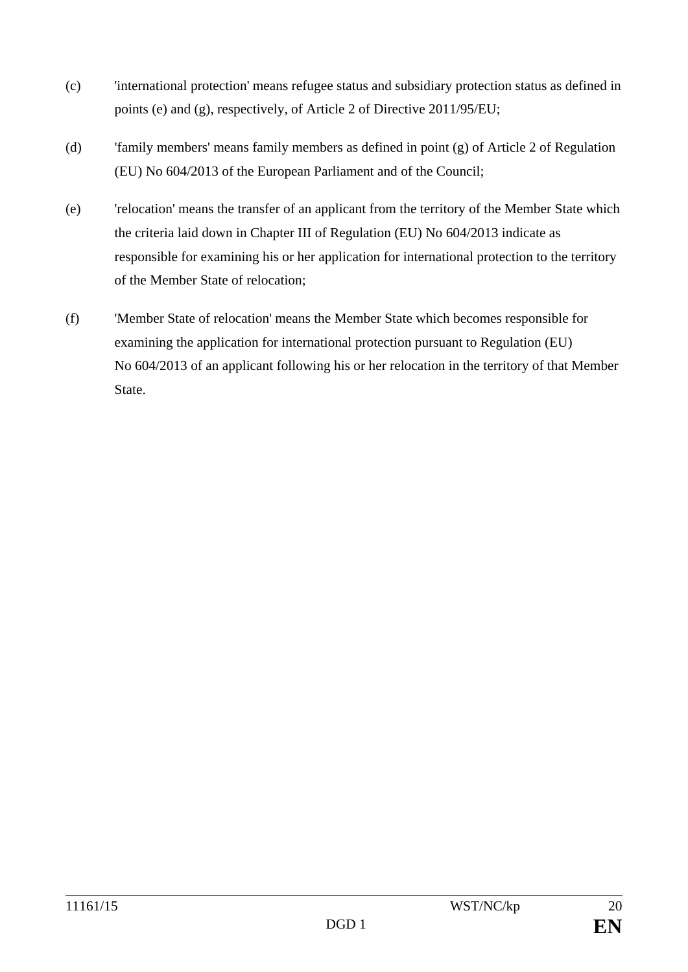- (c) 'international protection' means refugee status and subsidiary protection status as defined in points (e) and (g), respectively, of Article 2 of Directive 2011/95/EU;
- (d) 'family members' means family members as defined in point (g) of Article 2 of Regulation (EU) No 604/2013 of the European Parliament and of the Council;
- (e) 'relocation' means the transfer of an applicant from the territory of the Member State which the criteria laid down in Chapter III of Regulation (EU) No 604/2013 indicate as responsible for examining his or her application for international protection to the territory of the Member State of relocation;
- (f) 'Member State of relocation' means the Member State which becomes responsible for examining the application for international protection pursuant to Regulation (EU) No 604/2013 of an applicant following his or her relocation in the territory of that Member State.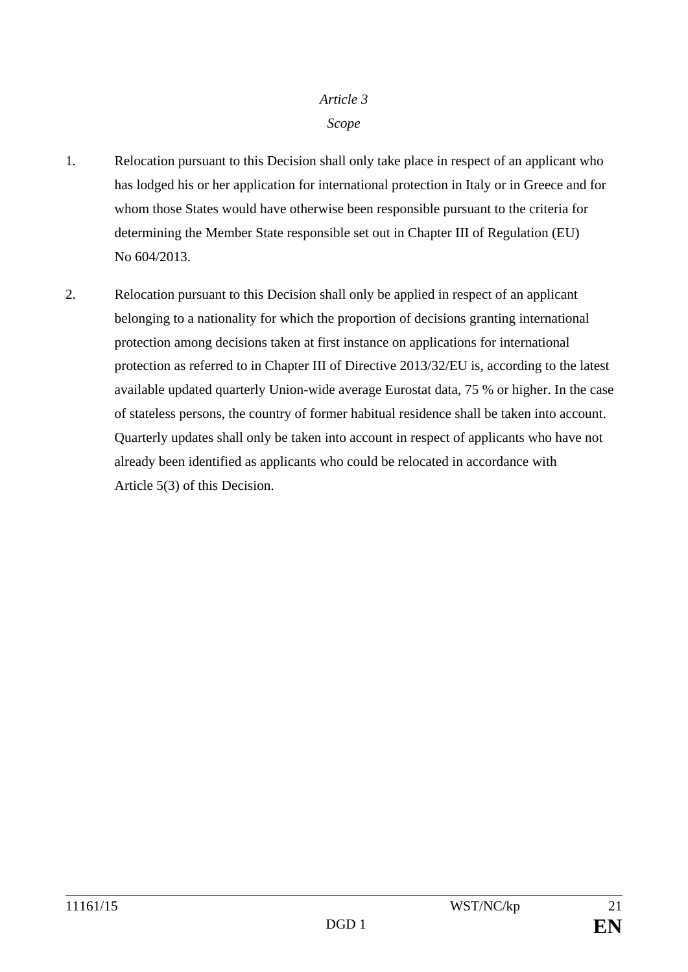# *Article 3 Scope*

- 1. Relocation pursuant to this Decision shall only take place in respect of an applicant who has lodged his or her application for international protection in Italy or in Greece and for whom those States would have otherwise been responsible pursuant to the criteria for determining the Member State responsible set out in Chapter III of Regulation (EU) No 604/2013.
- 2. Relocation pursuant to this Decision shall only be applied in respect of an applicant belonging to a nationality for which the proportion of decisions granting international protection among decisions taken at first instance on applications for international protection as referred to in Chapter III of Directive 2013/32/EU is, according to the latest available updated quarterly Union-wide average Eurostat data, 75 % or higher. In the case of stateless persons, the country of former habitual residence shall be taken into account. Quarterly updates shall only be taken into account in respect of applicants who have not already been identified as applicants who could be relocated in accordance with Article 5(3) of this Decision.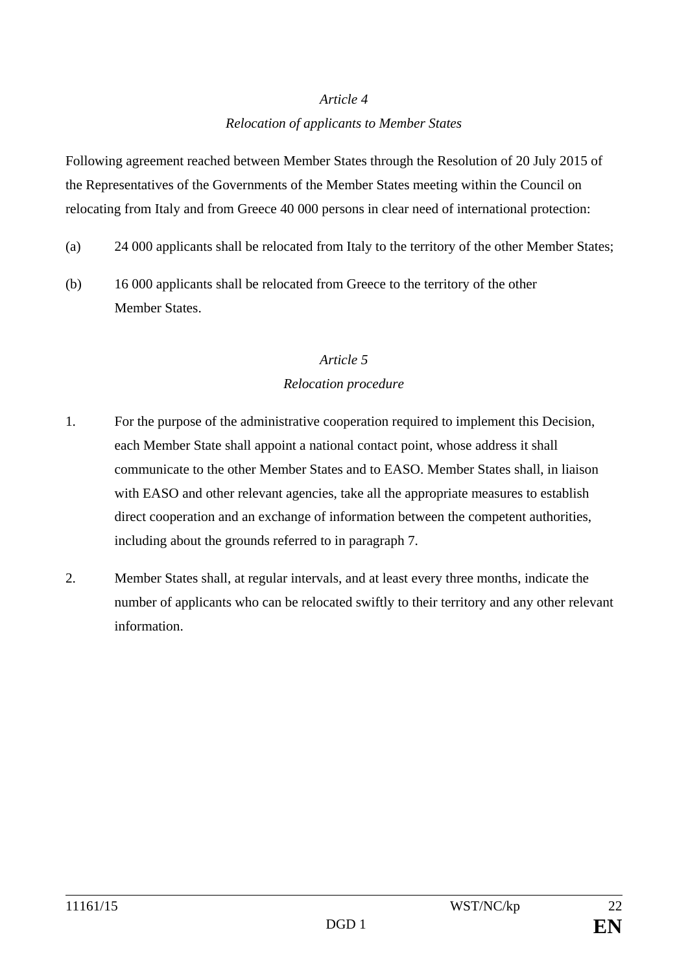# *Relocation of applicants to Member States*

Following agreement reached between Member States through the Resolution of 20 July 2015 of the Representatives of the Governments of the Member States meeting within the Council on relocating from Italy and from Greece 40 000 persons in clear need of international protection:

- (a) 24 000 applicants shall be relocated from Italy to the territory of the other Member States;
- (b) 16 000 applicants shall be relocated from Greece to the territory of the other Member States.

## *Article 5*

## *Relocation procedure*

- 1. For the purpose of the administrative cooperation required to implement this Decision, each Member State shall appoint a national contact point, whose address it shall communicate to the other Member States and to EASO. Member States shall, in liaison with EASO and other relevant agencies, take all the appropriate measures to establish direct cooperation and an exchange of information between the competent authorities, including about the grounds referred to in paragraph 7.
- 2. Member States shall, at regular intervals, and at least every three months, indicate the number of applicants who can be relocated swiftly to their territory and any other relevant information.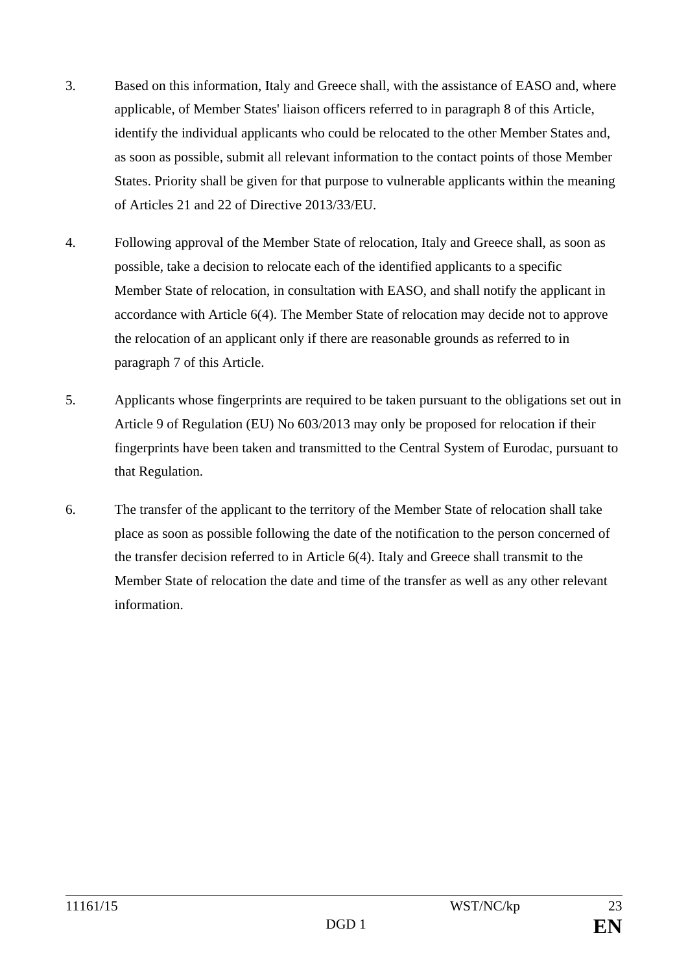- 3. Based on this information, Italy and Greece shall, with the assistance of EASO and, where applicable, of Member States' liaison officers referred to in paragraph 8 of this Article, identify the individual applicants who could be relocated to the other Member States and, as soon as possible, submit all relevant information to the contact points of those Member States. Priority shall be given for that purpose to vulnerable applicants within the meaning of Articles 21 and 22 of Directive 2013/33/EU.
- 4. Following approval of the Member State of relocation, Italy and Greece shall, as soon as possible, take a decision to relocate each of the identified applicants to a specific Member State of relocation, in consultation with EASO, and shall notify the applicant in accordance with Article 6(4). The Member State of relocation may decide not to approve the relocation of an applicant only if there are reasonable grounds as referred to in paragraph 7 of this Article.
- 5. Applicants whose fingerprints are required to be taken pursuant to the obligations set out in Article 9 of Regulation (EU) No 603/2013 may only be proposed for relocation if their fingerprints have been taken and transmitted to the Central System of Eurodac, pursuant to that Regulation.
- 6. The transfer of the applicant to the territory of the Member State of relocation shall take place as soon as possible following the date of the notification to the person concerned of the transfer decision referred to in Article 6(4). Italy and Greece shall transmit to the Member State of relocation the date and time of the transfer as well as any other relevant information.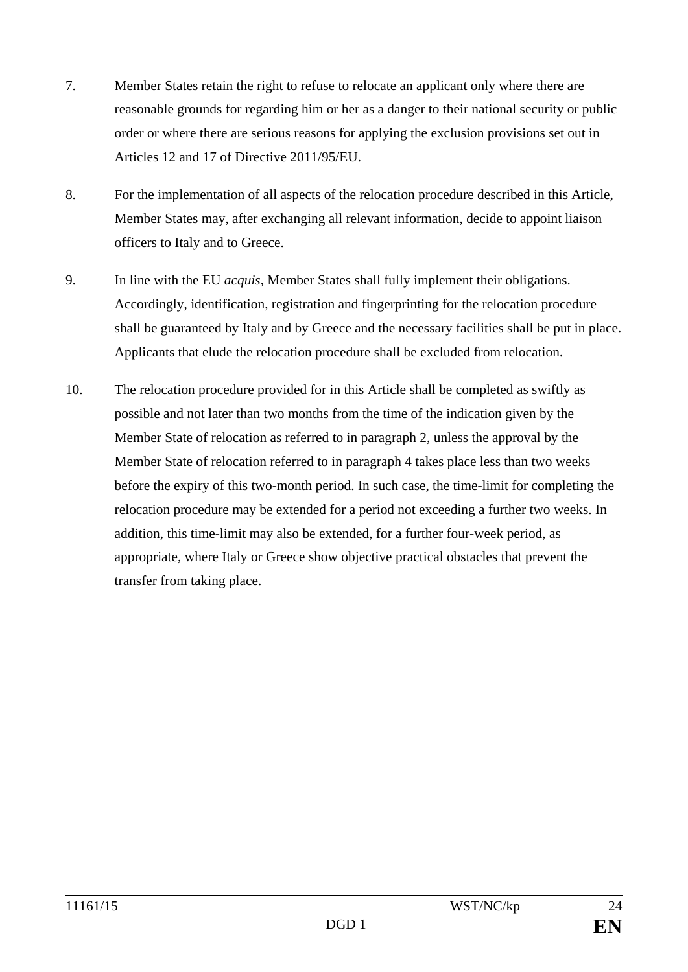- 7. Member States retain the right to refuse to relocate an applicant only where there are reasonable grounds for regarding him or her as a danger to their national security or public order or where there are serious reasons for applying the exclusion provisions set out in Articles 12 and 17 of Directive 2011/95/EU.
- 8. For the implementation of all aspects of the relocation procedure described in this Article, Member States may, after exchanging all relevant information, decide to appoint liaison officers to Italy and to Greece.
- 9. In line with the EU *acquis*, Member States shall fully implement their obligations. Accordingly, identification, registration and fingerprinting for the relocation procedure shall be guaranteed by Italy and by Greece and the necessary facilities shall be put in place. Applicants that elude the relocation procedure shall be excluded from relocation.
- 10. The relocation procedure provided for in this Article shall be completed as swiftly as possible and not later than two months from the time of the indication given by the Member State of relocation as referred to in paragraph 2, unless the approval by the Member State of relocation referred to in paragraph 4 takes place less than two weeks before the expiry of this two-month period. In such case, the time-limit for completing the relocation procedure may be extended for a period not exceeding a further two weeks. In addition, this time-limit may also be extended, for a further four-week period, as appropriate, where Italy or Greece show objective practical obstacles that prevent the transfer from taking place.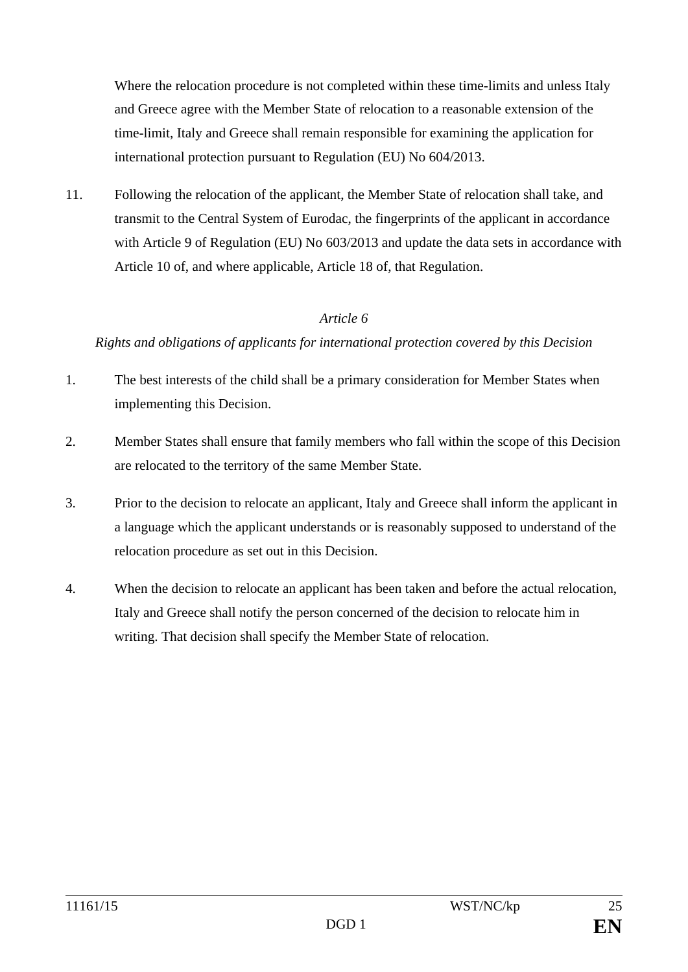Where the relocation procedure is not completed within these time-limits and unless Italy and Greece agree with the Member State of relocation to a reasonable extension of the time-limit, Italy and Greece shall remain responsible for examining the application for international protection pursuant to Regulation (EU) No 604/2013.

11. Following the relocation of the applicant, the Member State of relocation shall take, and transmit to the Central System of Eurodac, the fingerprints of the applicant in accordance with Article 9 of Regulation (EU) No  $603/2013$  and update the data sets in accordance with Article 10 of, and where applicable, Article 18 of, that Regulation.

## *Article 6*

# *Rights and obligations of applicants for international protection covered by this Decision*

- 1. The best interests of the child shall be a primary consideration for Member States when implementing this Decision.
- 2. Member States shall ensure that family members who fall within the scope of this Decision are relocated to the territory of the same Member State.
- 3. Prior to the decision to relocate an applicant, Italy and Greece shall inform the applicant in a language which the applicant understands or is reasonably supposed to understand of the relocation procedure as set out in this Decision.
- 4. When the decision to relocate an applicant has been taken and before the actual relocation, Italy and Greece shall notify the person concerned of the decision to relocate him in writing. That decision shall specify the Member State of relocation.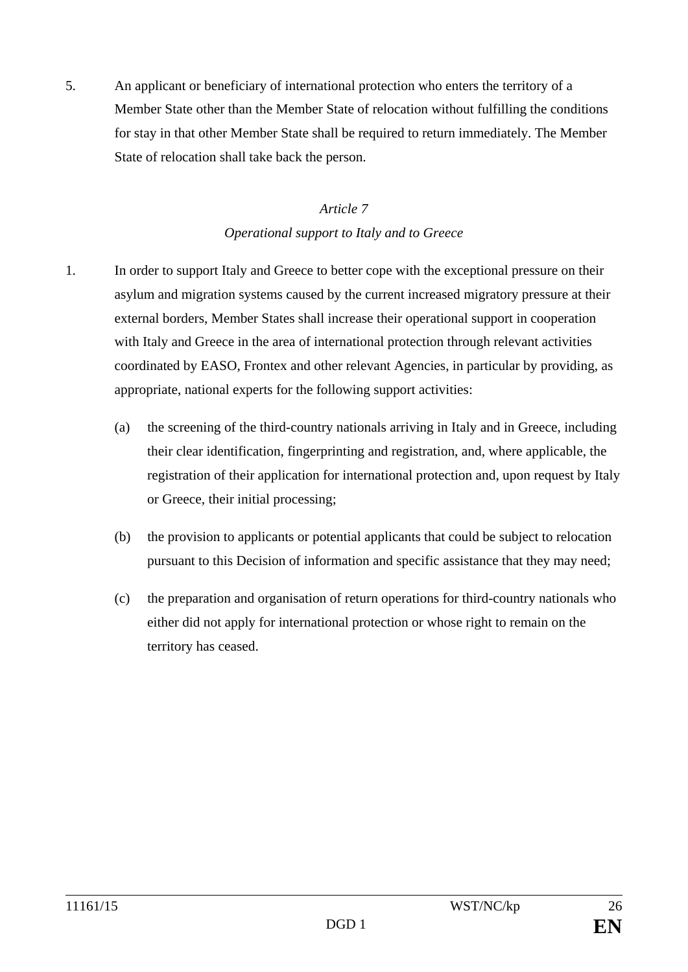5. An applicant or beneficiary of international protection who enters the territory of a Member State other than the Member State of relocation without fulfilling the conditions for stay in that other Member State shall be required to return immediately. The Member State of relocation shall take back the person.

# *Article 7 Operational support to Italy and to Greece*

- 1. In order to support Italy and Greece to better cope with the exceptional pressure on their asylum and migration systems caused by the current increased migratory pressure at their external borders, Member States shall increase their operational support in cooperation with Italy and Greece in the area of international protection through relevant activities coordinated by EASO, Frontex and other relevant Agencies, in particular by providing, as appropriate, national experts for the following support activities:
	- (a) the screening of the third-country nationals arriving in Italy and in Greece, including their clear identification, fingerprinting and registration, and, where applicable, the registration of their application for international protection and, upon request by Italy or Greece, their initial processing;
	- (b) the provision to applicants or potential applicants that could be subject to relocation pursuant to this Decision of information and specific assistance that they may need;
	- (c) the preparation and organisation of return operations for third-country nationals who either did not apply for international protection or whose right to remain on the territory has ceased.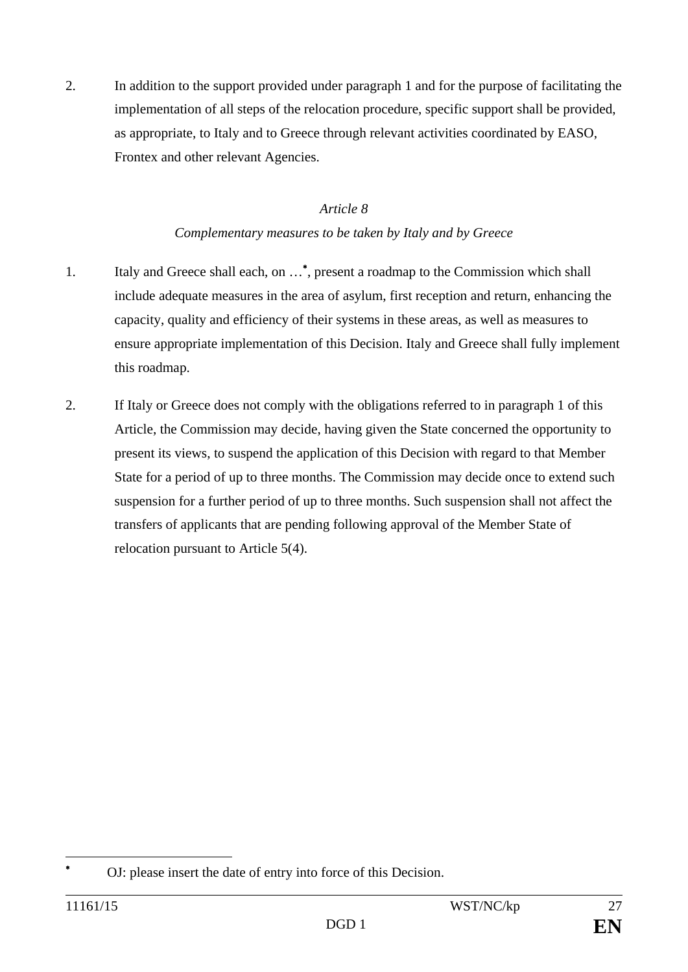2. In addition to the support provided under paragraph 1 and for the purpose of facilitating the implementation of all steps of the relocation procedure, specific support shall be provided, as appropriate, to Italy and to Greece through relevant activities coordinated by EASO, Frontex and other relevant Agencies.

# *Article 8*

# *Complementary measures to be taken by Italy and by Greece*

- 1. Italy and Greece shall each, on ...<sup>\*</sup>, present a roadmap to the Commission which shall include adequate measures in the area of asylum, first reception and return, enhancing the capacity, quality and efficiency of their systems in these areas, as well as measures to ensure appropriate implementation of this Decision. Italy and Greece shall fully implement this roadmap.
- 2. If Italy or Greece does not comply with the obligations referred to in paragraph 1 of this Article, the Commission may decide, having given the State concerned the opportunity to present its views, to suspend the application of this Decision with regard to that Member State for a period of up to three months. The Commission may decide once to extend such suspension for a further period of up to three months. Such suspension shall not affect the transfers of applicants that are pending following approval of the Member State of relocation pursuant to Article 5(4).

 $\overline{a}$ \*

OJ: please insert the date of entry into force of this Decision.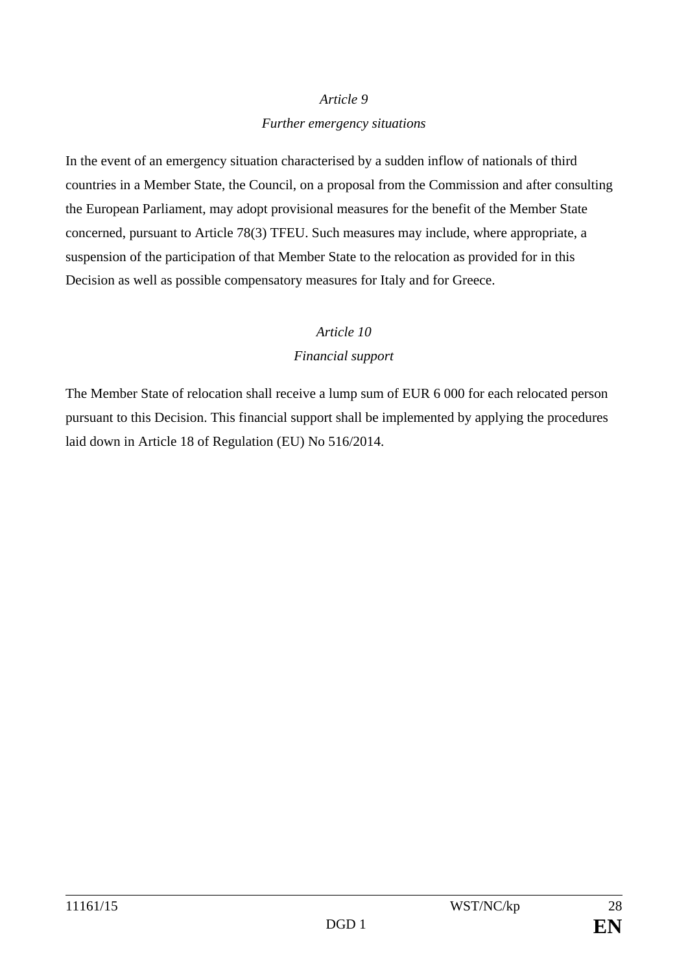### *Further emergency situations*

In the event of an emergency situation characterised by a sudden inflow of nationals of third countries in a Member State, the Council, on a proposal from the Commission and after consulting the European Parliament, may adopt provisional measures for the benefit of the Member State concerned, pursuant to Article 78(3) TFEU. Such measures may include, where appropriate, a suspension of the participation of that Member State to the relocation as provided for in this Decision as well as possible compensatory measures for Italy and for Greece.

# *Article 10*

# *Financial support*

The Member State of relocation shall receive a lump sum of EUR 6 000 for each relocated person pursuant to this Decision. This financial support shall be implemented by applying the procedures laid down in Article 18 of Regulation (EU) No 516/2014.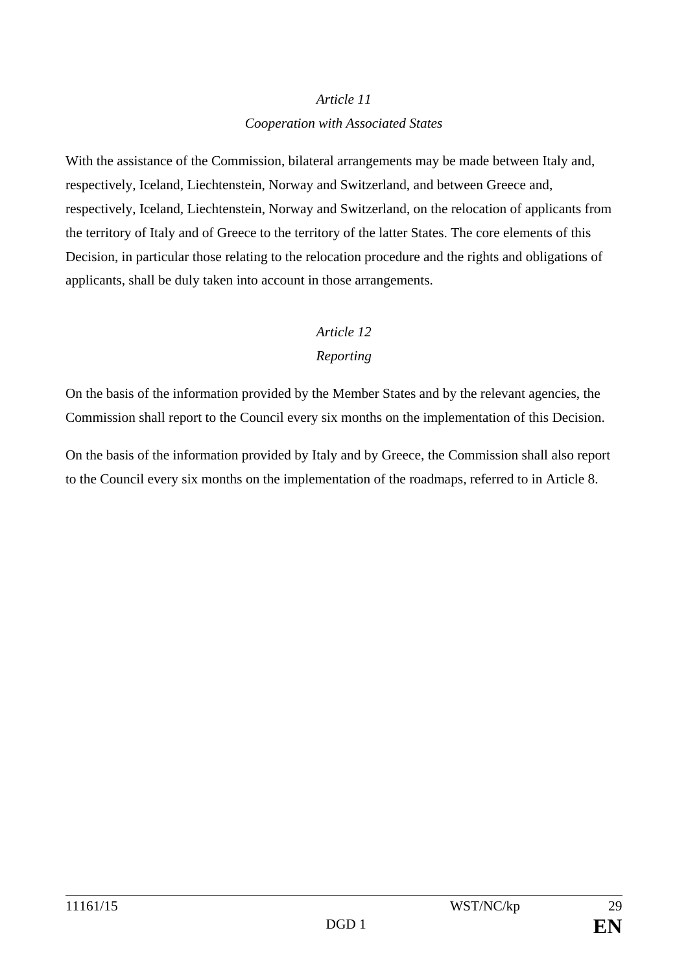### *Cooperation with Associated States*

With the assistance of the Commission, bilateral arrangements may be made between Italy and, respectively, Iceland, Liechtenstein, Norway and Switzerland, and between Greece and, respectively, Iceland, Liechtenstein, Norway and Switzerland, on the relocation of applicants from the territory of Italy and of Greece to the territory of the latter States. The core elements of this Decision, in particular those relating to the relocation procedure and the rights and obligations of applicants, shall be duly taken into account in those arrangements.

## *Article 12*

# *Reporting*

On the basis of the information provided by the Member States and by the relevant agencies, the Commission shall report to the Council every six months on the implementation of this Decision.

On the basis of the information provided by Italy and by Greece, the Commission shall also report to the Council every six months on the implementation of the roadmaps, referred to in Article 8.